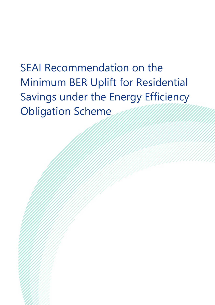SEAI Recommendation on the Minimum BER Uplift for Residential Savings under the Energy Efficiency Obligation Scheme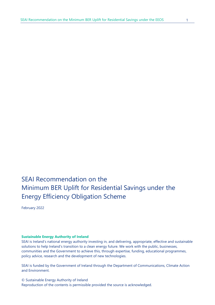# SEAI Recommendation on the Minimum BER Uplift for Residential Savings under the Energy Efficiency Obligation Scheme

February 2022

#### **Sustainable Energy Authority of Ireland**

SEAI is Ireland's national energy authority investing in, and delivering, appropriate, effective and sustainable solutions to help Ireland's transition to a clean energy future. We work with the public, businesses, communities and the Government to achieve this, through expertise, funding, educational programmes, policy advice, research and the development of new technologies.

SEAI is funded by the Government of Ireland through the Department of Communications, Climate Action and Environment.

© Sustainable Energy Authority of Ireland Reproduction of the contents is permissible provided the source is acknowledged.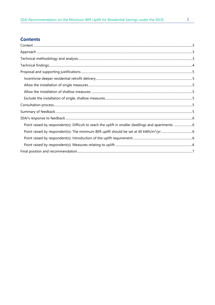## **Contents**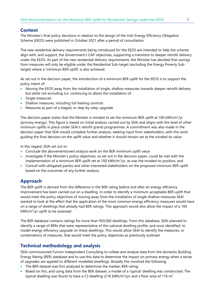### <span id="page-3-0"></span>**Context**

The Minister's final policy decisions in relation to the design of the Irish Energy Efficiency Obligation Scheme (EEOS) were published in October 2021 after a period of consultation.

The new residential delivery requirements being introduced for the EEOS are intended to help the scheme align with, and support, the Government's CAP objectives, supporting a transition to deeper retrofit delivery under the EEOS. As part of the new residential delivery requirements, the Minister has decided that savings from measures will only be eligible under the Residential Sub-target (excluding the Energy Poverty Subtarget) where a 'minimum BER uplift' is also achieved.

As set out in the decision paper, the introduction of a minimum BER uplift for the EEOS is to support the policy intent of:

- Moving the EEOS away from the installation of single, shallow measures towards deeper retrofit delivery but while not excluding (i.e. continuing to allow) the installation of:
- Single measures
- Shallow measures, including full heating controls
- Measures as part of a staged, or step-by-step, upgrade

The decision paper states that the Minister is minded to set the minimum BER uplift at 100 kWh/m<sup>2</sup>/yr (primary energy). This figure is based on initial analysis carried out by SEAI and aligns with the level of other minimum uplifts in place under SEAI's retrofit grants programmes. A commitment was also made in the decision paper that SEAI would complete further analysis, seeking input from stakeholders, with this work guiding the final decision on the uplift value and whether it should remain set at the minded-to value.

In this regard, SEAI set out to:

- Conclude the abovementioned analysis work on the BER minimum uplift value
- Investigate if the Minister's policy objectives, as set out in the decision paper, could be met with the implementation of a minimum BER uplift set at 100 kWh/ $m^2$ /yr, as was the minded-to position, and
- Consult with obligated parties and other interested stakeholders on the proposed minimum BER uplift based on the outcomes of any further analysis.

### <span id="page-3-1"></span>**Approach**

The BER uplift is derived from the difference in the BER rating before and after an energy efficiency improvement has been carried out on a dwelling. In order to identify a minimum acceptable BER uplift that would meet the policy objectives of moving away from the installation of single shallow measures SEAI wanted to look at the effect that the application of the most common energy efficiency measures would have on a range of dwellings that already had BER ratings. This approach would also allow the impact of a 100  $kWh/m^2$ /yr uplift to be assessed.

The BER database contains ratings for more than 950,000 dwellings. From this database, SEAI planned to identify a range of BERs that were representative of the national dwelling profile, and once identified, to model energy efficiency upgrade on these dwellings. This would allow SEAI to identify the measures, or combinations of measures, that would meet the policy objectives as previously outlined.

### <span id="page-3-2"></span>**Technical methodology and analysis**

SEAI commissioned Fuinniv Independent Consulting to collate and analyse data from the domestic Building Energy Rating (BER) database and to use this data to determine the impact on primary energy when a series of upgrades are applied to different modelled dwellings. Broadly this involved the following:

- The BER dataset was first analysed to determine the median BER rating.
- Based on this, and using data from the BER dataset, a model of a 'typical' dwelling was constructed. The typical dwelling was found to have a C3 dwelling (218 kWh/m $^2$ /yr) and a floor area of 116 m $^2$ .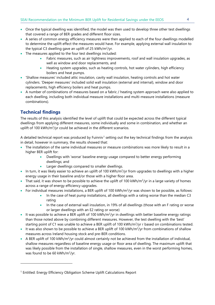- Once the typical dwelling was identified, the model was then used to develop three other test dwellings that covered a range of BER grades and different floor sizes.
- A series of common energy efficiency measures were then applied to each of the four dwellings modelled to determine the uplift effect the measures would have. For example, applying external wall insulation to the typical C3 dwelling gave an uplift of 25 kWh/m<sup>2</sup>/yr.
- The measures applied to the four test dwellings included:
	- Fabric measures, such as air tightness improvements, roof and wall insulation upgrades, as well as window and door replacements, and
	- Heating system upgrades, such as heating controls, hot water cylinders, high efficiency boilers and heat pumps.
- 'Shallow measures' included attic insulation, cavity wall insulation, heating controls and hot water cylinders. 'Deeper measures' included solid wall insulation (external and internal), window and door replacements, high efficiency boilers and heat pumps.
- A number of combinations of measures based on a fabric / heating system approach were also applied to each dwelling, including both individual measure installations and multi-measure installations (measure combinations).

# <span id="page-4-0"></span>**Technical findings**

The results of this analysis identified the level of uplift that could be expected across the different typical dwellings from applying different measures, some individually and some in combination, and whether an uplift of 100 kWh/m<sup>2</sup>/yr could be achieved in the different scenarios.

A detailed technical report was produced by Fuinniv<sup>[1](#page-4-1)</sup> setting out the key technical findings from the analysis in detail, however in summary, the results showed that:

- The installation of the same individual measures or measure combinations was more likely to result in a higher BER uplift for:
	- Dwellings with 'worse' baseline energy usage compared to better energy performing dwellings; and
	- Larger dwellings compared to smaller dwellings.
- In turn, it was likely easier to achieve an uplift of 100 kWh/m<sup>2</sup>/yr from upgrades to dwellings with a higher energy usage in their baseline and/or those with a higher floor area.
- That said, it was shown to be possible to achieve the uplift of 100 kWh/m<sup>2</sup>/yr in a large variety of homes across a range of energy efficiency upgrades.
- For individual measures installations, a BER uplift of 100 kWh/m<sup>2</sup>/yr was shown to be possible, as follows:
	- In the case of heat pump installations, all dwellings with a rating worse than the median C3 rating
	- In the case of external wall insulation, in 19% of all dwellings (those with an F rating or worse or larger dwellings with an E2 rating or worse)
- It was possible to achieve a BER uplift of 100 kWh/m<sup>2</sup>/yr in dwellings with better baseline energy ratings than those noted above by combining different measures. However, the test dwelling with the 'best' starting point of C1 was unable to achieve a BER uplift of 100 kWh/m<sup>2</sup>/yr r based on combinations tested.
- It was also shown to be possible to achieve a BER uplift of 100 kWh/m<sup>2</sup>/yr from combinations of shallow measures across Ireland housing stock and pre-BER conditions.
- A BER uplift of 100 kWh/m2/yr could almost certainly not be achieved from the installation of individual, shallow measures regardless of baseline energy usage or floor area of dwelling. The maximum uplift that was likely possible from the installation of single, shallow measures, even in the worst performing homes, was found to be 60 kWh/ $m^2$ /yr.

<span id="page-4-1"></span><sup>&</sup>lt;sup>1</sup> Entitled: Energy Efficiency Obligation Scheme Uplift Calculations Report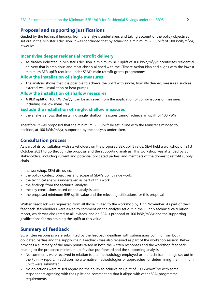### <span id="page-5-0"></span>**Proposal and supporting justifications**

Guided by the technical findings from the analysis undertaken, and taking account of the policy objectives set out in the Minister's decision, it was concluded that by achieving a minimum BER uplift of 100 kWh/m<sup>2</sup>/yr, it would:

#### <span id="page-5-1"></span>**Incentivise deeper residential retrofit delivery**

• As already indicated in Minister's decision, a minimum BER uplift of 100 kWh/m<sup>2</sup>/yr incentivises residential delivery that is ambitious and most closely aligned with the Climate Action Plan and aligns with the lowest minimum BER uplift required under SEAI's main retrofit grants programmes

#### <span id="page-5-2"></span>**Allow the installation of single measures**

• The analysis shows that it is possible to achieve the uplift with single, typically deeper, measures, such as external wall installation or heat pumps.

#### <span id="page-5-3"></span>**Allow the installation of shallow measures**

• A BER uplift of 100 kWh/m<sup>2</sup>/yr can be achieved from the application of combinations of measures, including shallow measures

#### <span id="page-5-4"></span>**Exclude the installation of single, shallow measures**

• the analysis shows that installing single, shallow measures cannot achieve an uplift of 100 kWh

Therefore, it was proposed that the minimum BER uplift be set in line with the Minister's minded to position, at 100 kWh/ $m^2$ /yr, supported by the analysis undertaken.

### <span id="page-5-5"></span>**Consultation process**

As part of its consultation with stakeholders on the proposed BER uplift value, SEAI held a workshop on 21st October 2021 to go through the proposal and the supporting analysis. This workshop was attended by 38 stakeholders, including current and potential obligated parties, and members of the domestic retrofit supply chain.

In the workshop, SEAI discussed:

- the policy context, objectives and scope of SEAI's uplift value work,
- the technical analysis undertaken as part of this work,
- the findings from the technical analysis,
- the key conclusions based on the analysis, and
- the proposed minimum BER uplift value and the relevant justifications for this proposal.

Written feedback was requested from all those invited to the workshop by 12th November. As part of their feedback, stakeholders were asked to comment on the analysis set out in the Fuinniv technical calculation report, which was circulated to all invitees, and on SEAI's proposal of 100 kWh/m<sup>2</sup>/yr and the supporting justifications for maintaining the uplift at this value.

### <span id="page-5-6"></span>**Summary of feedback**

Six written responses were submitted by the feedback deadline, with submissions coming from both obligated parties and the supply chain. Feedback was also received as part of the workshop session. Below provides a summary of the main points raised in both the written responses and the workshop feedback relating to the proposed minimum uplift value put forward and the supporting analysis:

- No comments were received in relation to the methodology employed or the technical findings set out in the Fuinniv report. In addition, no alternative methodologies or approaches for determining the minimum uplift were submitted.
- No objections were raised regarding the ability to achieve an uplift of 100 kWh/m<sup>2</sup>/yr with some respondents agreeing with the uplift and commenting that it aligns with other SEAI programme requirements.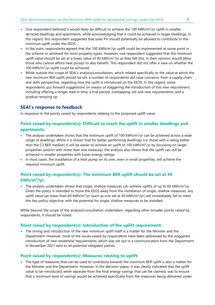- One respondent believed it would likely be difficult to achieve the 100 kWh/m<sup>2</sup>/yr uplift in smaller, terraced dwellings and apartments, while acknowledging that it could be achieved in larger dwellings. In this regard, this respondent suggested that solar PV should potentially be allowed to contribute to the minimum uplift under the EEOS.
- In the main, respondents agreed that the 100 kWh/ $m^2$ /yr uplift could be implemented at some point in the scheme or achieved for most property types. However, one respondent suggested that the minimum uplift value should be set at a lower value of 40 kWh/m<sup>2</sup>/yr as they felt this, in their opinion, would allow those who cannot afford heat pumps to also benefit. This respondent did not offer a view on whether the 100 kWh/m<sup>2</sup>/yr uplift could be achieved.
- While outside the scope of SEAI's analysis/consultation, which related specifically to the value at which the new minimum BER uplift should be set, a number of respondents did raise concerns, from a supply chain and skills perspective, regarding how the uplift is introduced on the EEOS. In this regard, some respondents put forward suggestions on means of staggering the introduction of this new requirement, including offering a longer lead in time; a trial period; overlapping old and new requirements; and a gradual ramping up.

### <span id="page-6-0"></span>**SEAI's response to feedback**

In response to the points raised by respondents relating to the proposed uplift value:

### <span id="page-6-1"></span>**Point raised by respondent(s): Difficult to reach the uplift in smaller dwellings and apartments:**

- The analysis undertaken shows that the minimum uplift of 100 kWh/m<sup>2</sup>/yr can be achieved across a wide range of dwellings. While it is shown that for better performing dwellings (i.e. those with a rating better than the C3 BER median) it will be easier to achieve an uplift of 100 kWh/m<sup>2</sup>/yr by focussing on larger properties (and/or with more than one measure), the analysis also shows that the uplift can still be achieved in smaller properties with lower energy ratings.
- In most cases, the installation of a heat pump on its own, even in small properties, will achieve the required minimum uplift.

### <span id="page-6-2"></span>**Point raised by respondent(s): The minimum BER uplift should be set at 40 kWh/m2/yr:**

• The analysis undertaken shows that single, shallow measures can achieve uplifts of up to 60 kWh/m<sup>2</sup>/yr. Given the policy is intended to move the EEOS away from the installation of single, shallow measures, any uplift value set lower than 60 kWh/m<sup>2</sup>/yr (such as one set at 40 kWh/m<sup>2</sup>/yr) will immediately fail to meet this key policy objective, with the potential for single, shallow measures to be installed.

While beyond the scope of the analysis/consultation undertaken, regarding other broader points raised by respondents, it should be noted:

### <span id="page-6-3"></span>**Point raised by respondent(s): Introduction of the uplift requirement:**

• The timing and introduction of the new minimum uplift itself is a matter for the Minister and the Department. However, most of the issues raised by respondents have been addressed by the staggered introduction of new residential requirements, which was set out in a communication from the Department in November 2021 sent to all potential obligated parties.

### <span id="page-6-4"></span>**Point raised by respondent(s): Measures relating to uplift:**

• The type of measures that can be used to contribute towards the minimum BER uplift is also a matter for the Minister and the Department. However, in the decision paper, it was clearly indicated that the uplift value to be introduced, while separate from the final energy savings that can be claimed, was to ensure that a minimum level of savings would be achieved specifically from the measures being delivered under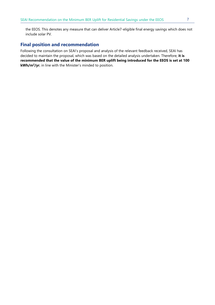the EEOS. This denotes any measure that can deliver Article7-eligible final energy savings which does not include solar PV.

### <span id="page-7-0"></span>**Final position and recommendation**

Following the consultation on SEAI's proposal and analysis of the relevant feedback received, SEAI has decided to maintain the proposal, which was based on the detailed analysis undertaken. Therefore, **it is recommended that the value of the minimum BER uplift being introduced for the EEOS is set at 100 kWh/m2/yr**, in line with the Minister's minded to position.